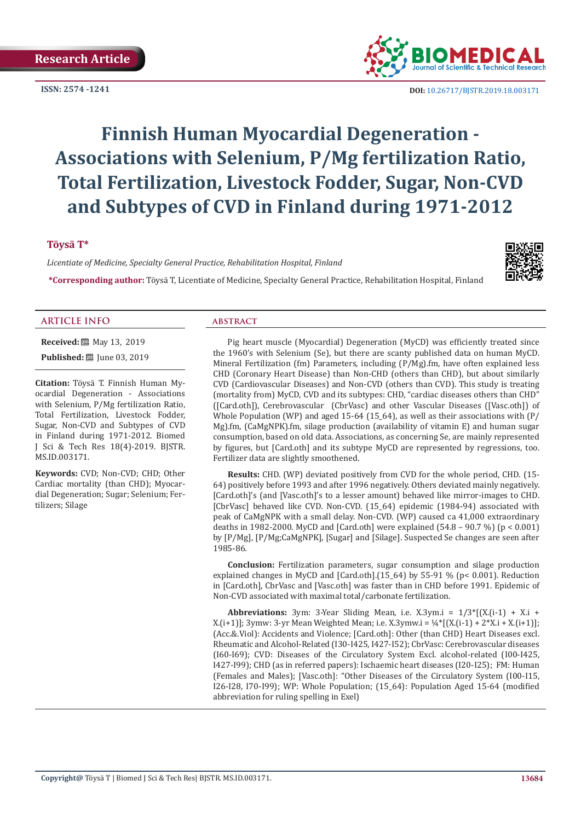**ISSN: 2574 -1241**



 **DOI:** [10.26717/BJSTR.2019.18.003171](http://dx.doi.org/10.26717/BJSTR.2019.18.003171)

# **Finnish Human Myocardial Degeneration - Associations with Selenium, P/Mg fertilization Ratio, Total Fertilization, Livestock Fodder, Sugar, Non-CVD and Subtypes of CVD in Finland during 1971-2012**

# **Töysä T\***

*Licentiate of Medicine, Specialty General Practice, Rehabilitation Hospital, Finland*



**\*Corresponding author:** Töysä T, Licentiate of Medicine, Specialty General Practice, Rehabilitation Hospital, Finland

#### **ARTICLE INFO abstract**

**Received:** 圖 May 13, 2019

**Published:** ■ June 03, 2019

**Citation:** Töysä T. Finnish Human Myocardial Degeneration - Associations with Selenium, P/Mg fertilization Ratio, Total Fertilization, Livestock Fodder, Sugar, Non-CVD and Subtypes of CVD in Finland during 1971-2012. Biomed J Sci & Tech Res 18(4)-2019. BJSTR. MS.ID.003171.

**Keywords:** CVD; Non-CVD; CHD; Other Cardiac mortality (than CHD); Myocardial Degeneration; Sugar; Selenium; Fertilizers; Silage

Pig heart muscle (Myocardial) Degeneration (MyCD) was efficiently treated since the 1960's with Selenium (Se), but there are scanty published data on human MyCD. Mineral Fertilization (fm) Parameters, including (P/Mg).fm, have often explained less CHD (Coronary Heart Disease) than Non-CHD (others than CHD), but about similarly CVD (Cardiovascular Diseases) and Non-CVD (others than CVD). This study is treating (mortality from) MyCD, CVD and its subtypes: CHD, "cardiac diseases others than CHD" ([Card.oth]), Cerebrovascular (CbrVasc) and other Vascular Diseases ([Vasc.oth]) of Whole Population (WP) and aged 15-64 (15\_64), as well as their associations with (P/ Mg).fm, (CaMgNPK).fm, silage production (availability of vitamin E) and human sugar consumption, based on old data. Associations, as concerning Se, are mainly represented by figures, but [Card.oth] and its subtype MyCD are represented by regressions, too. Fertilizer data are slightly smoothened.

**Results:** CHD. (WP) deviated positively from CVD for the whole period, CHD. (15- 64) positively before 1993 and after 1996 negatively. Others deviated mainly negatively. [Card.oth]'s (and [Vasc.oth]'s to a lesser amount) behaved like mirror-images to CHD. [CbrVasc] behaved like CVD. Non-CVD. (15\_64) epidemic (1984-94) associated with peak of CaMgNPK with a small delay. Non-CVD. (WP) caused ca 41,000 extraordinary deaths in 1982-2000. MyCD and [Card.oth] were explained (54.8 – 90.7 %) (p < 0.001) by [P/Mg], [P/Mg;CaMgNPK], [Sugar] and [Silage]. Suspected Se changes are seen after 1985-86.

**Conclusion:** Fertilization parameters, sugar consumption and silage production explained changes in MyCD and [Card.oth].(15\_64) by 55-91 % (p< 0.001). Reduction in [Card.oth], CbrVasc and [Vasc.oth] was faster than in CHD before 1991. Epidemic of Non-CVD associated with maximal total/carbonate fertilization.

**Abbreviations:** 3ym: 3-Year Sliding Mean, i.e. X.3ym.i =  $1/3$ <sup>\*</sup>[(X.(i-1) + X.i + X.(i+1)]; 3ymw: 3-yr Mean Weighted Mean; i.e. X.3ymw.i =  $\frac{1}{4}$  [(X.(i-1) + 2\*X.i + X.(i+1)]; (Acc.&.Viol): Accidents and Violence; [Card.oth]: Other (than CHD) Heart Diseases excl. Rheumatic and Alcohol-Related (I30-I425, I427-I52); CbrVasc: Cerebrovascular diseases (I60-I69); CVD: Diseases of the Circulatory System Excl. alcohol-related (I00-I425, I427-I99); CHD (as in referred papers): Ischaemic heart diseases (I20-I25); FM: Human (Females and Males); [Vasc.oth]: "Other Diseases of the Circulatory System (I00-I15, I26-I28, I70-I99); WP: Whole Population; (15\_64): Population Aged 15-64 (modified abbreviation for ruling spelling in Exel)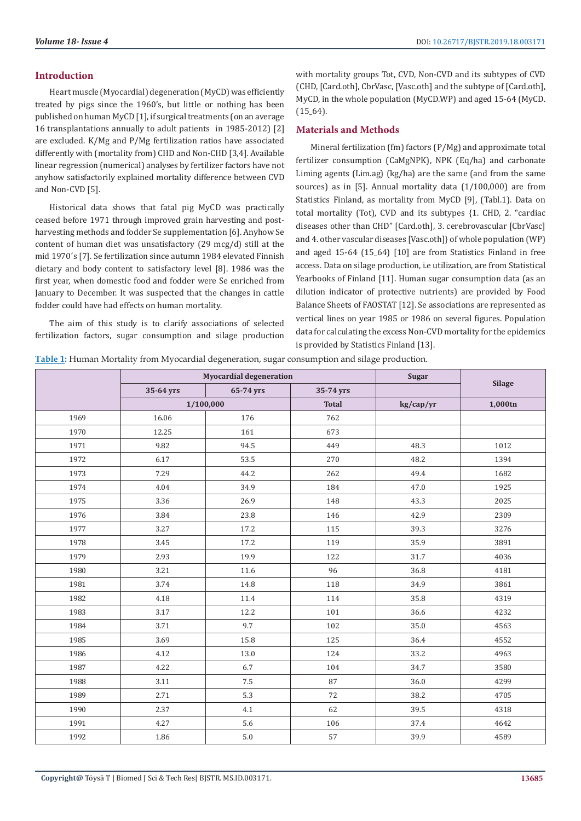### **Introduction**

Heart muscle (Myocardial) degeneration (MyCD) was efficiently treated by pigs since the 1960's, but little or nothing has been published on human MyCD [1], if surgical treatments (on an average 16 transplantations annually to adult patients in 1985-2012) [2] are excluded. K/Mg and P/Mg fertilization ratios have associated differently with (mortality from) CHD and Non-CHD [3,4]. Available linear regression (numerical) analyses by fertilizer factors have not anyhow satisfactorily explained mortality difference between CVD and Non-CVD [5].

Historical data shows that fatal pig MyCD was practically ceased before 1971 through improved grain harvesting and postharvesting methods and fodder Se supplementation [6]. Anyhow Se content of human diet was unsatisfactory (29 mcg/d) still at the mid 1970´s [7]. Se fertilization since autumn 1984 elevated Finnish dietary and body content to satisfactory level [8]. 1986 was the first year, when domestic food and fodder were Se enriched from January to December. It was suspected that the changes in cattle fodder could have had effects on human mortality.

The aim of this study is to clarify associations of selected fertilization factors, sugar consumption and silage production with mortality groups Tot, CVD, Non-CVD and its subtypes of CVD (CHD, [Card.oth], CbrVasc, [Vasc.oth] and the subtype of [Card.oth], MyCD, in the whole population (MyCD.WP) and aged 15-64 (MyCD.  $(15_64).$ 

# **Materials and Methods**

Mineral fertilization (fm) factors (P/Mg) and approximate total fertilizer consumption (CaMgNPK), NPK (Eq/ha) and carbonate Liming agents (Lim.ag) (kg/ha) are the same (and from the same sources) as in [5]. Annual mortality data (1/100,000) are from Statistics Finland, as mortality from MyCD [9], (Tabl.1). Data on total mortality (Tot), CVD and its subtypes {1. CHD, 2. "cardiac diseases other than CHD" [Card.oth], 3. cerebrovascular [CbrVasc] and 4. other vascular diseases [Vasc.oth]} of whole population (WP) and aged 15-64 (15\_64) [10] are from Statistics Finland in free access. Data on silage production, i.e utilization, are from Statistical Yearbooks of Finland [11]. Human sugar consumption data (as an dilution indicator of protective nutrients) are provided by Food Balance Sheets of FAOSTAT [12]. Se associations are represented as vertical lines on year 1985 or 1986 on several figures. Population data for calculating the excess Non-CVD mortality for the epidemics is provided by Statistics Finland [13].

**Table 1:** Human Mortality from Myocardial degeneration, sugar consumption and silage production.

|      | <b>Myocardial degeneration</b> |           | <b>Sugar</b> |           |               |
|------|--------------------------------|-----------|--------------|-----------|---------------|
|      | 35-64 yrs                      | 65-74 yrs | 35-74 yrs    |           | <b>Silage</b> |
|      | 1/100,000                      |           | <b>Total</b> | kg/cap/yr | 1,000tn       |
| 1969 | 16.06                          | 176       | 762          |           |               |
| 1970 | 12.25                          | 161       | 673          |           |               |
| 1971 | 9.82                           | 94.5      | 449          | 48.3      | 1012          |
| 1972 | 6.17                           | 53.5      | 270          | 48.2      | 1394          |
| 1973 | 7.29                           | 44.2      | 262          | 49.4      | 1682          |
| 1974 | 4.04                           | 34.9      | 184          | 47.0      | 1925          |
| 1975 | 3.36                           | 26.9      | 148          | 43.3      | 2025          |
| 1976 | 3.84                           | 23.8      | 146          | 42.9      | 2309          |
| 1977 | 3.27                           | 17.2      | 115          | 39.3      | 3276          |
| 1978 | 3.45                           | 17.2      | 119          | 35.9      | 3891          |
| 1979 | 2.93                           | 19.9      | 122          | 31.7      | 4036          |
| 1980 | 3.21                           | 11.6      | 96           | 36.8      | 4181          |
| 1981 | 3.74                           | 14.8      | 118          | 34.9      | 3861          |
| 1982 | 4.18                           | 11.4      | 114          | 35.8      | 4319          |
| 1983 | 3.17                           | 12.2      | 101          | 36.6      | 4232          |
| 1984 | 3.71                           | 9.7       | 102          | 35.0      | 4563          |
| 1985 | 3.69                           | 15.8      | 125          | 36.4      | 4552          |
| 1986 | 4.12                           | 13.0      | 124          | 33.2      | 4963          |
| 1987 | 4.22                           | 6.7       | 104          | 34.7      | 3580          |
| 1988 | 3.11                           | 7.5       | 87           | 36.0      | 4299          |
| 1989 | 2.71                           | 5.3       | 72           | 38.2      | 4705          |
| 1990 | 2.37                           | 4.1       | 62           | 39.5      | 4318          |
| 1991 | 4.27                           | 5.6       | 106          | 37.4      | 4642          |
| 1992 | 1.86                           | 5.0       | 57           | 39.9      | 4589          |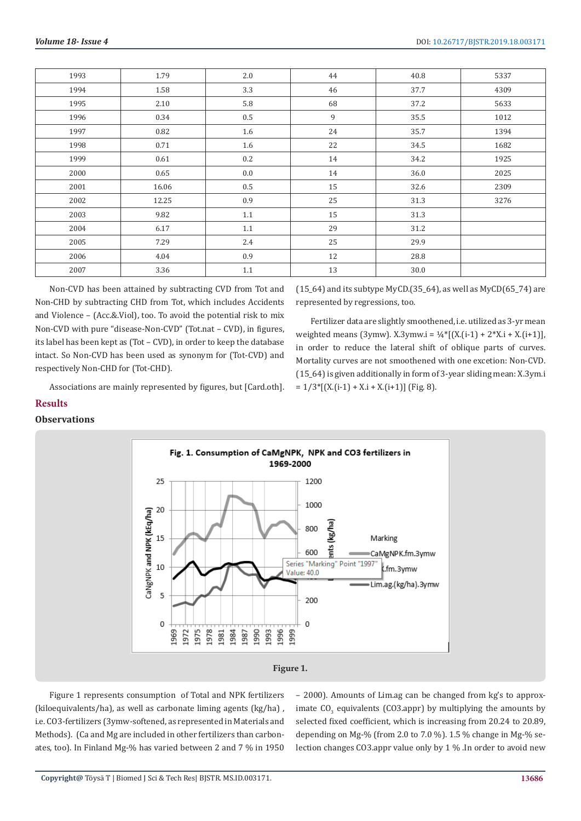| 1993 | 1.79  | 2.0     | 44 | 40.8 | 5337 |
|------|-------|---------|----|------|------|
| 1994 | 1.58  | 3.3     | 46 | 37.7 | 4309 |
| 1995 | 2.10  | 5.8     | 68 | 37.2 | 5633 |
| 1996 | 0.34  | $0.5\,$ | 9  | 35.5 | 1012 |
| 1997 | 0.82  | 1.6     | 24 | 35.7 | 1394 |
| 1998 | 0.71  | 1.6     | 22 | 34.5 | 1682 |
| 1999 | 0.61  | 0.2     | 14 | 34.2 | 1925 |
| 2000 | 0.65  | 0.0     | 14 | 36.0 | 2025 |
| 2001 | 16.06 | $0.5\,$ | 15 | 32.6 | 2309 |
| 2002 | 12.25 | 0.9     | 25 | 31.3 | 3276 |
| 2003 | 9.82  | 1.1     | 15 | 31.3 |      |
| 2004 | 6.17  | 1.1     | 29 | 31.2 |      |
| 2005 | 7.29  | 2.4     | 25 | 29.9 |      |
| 2006 | 4.04  | 0.9     | 12 | 28.8 |      |
| 2007 | 3.36  | 1.1     | 13 | 30.0 |      |

Non-CVD has been attained by subtracting CVD from Tot and Non-CHD by subtracting CHD from Tot, which includes Accidents and Violence – (Acc.&.Viol), too. To avoid the potential risk to mix Non-CVD with pure "disease-Non-CVD" (Tot.nat – CVD), in figures, its label has been kept as (Tot – CVD), in order to keep the database intact. So Non-CVD has been used as synonym for (Tot-CVD) and respectively Non-CHD for (Tot-CHD).

 $(15_64)$  and its subtype MyCD.(35\_64), as well as MyCD(65\_74) are represented by regressions, too.

Fertilizer data are slightly smoothened, i.e. utilized as 3-yr mean weighted means (3ymw). X.3ymw.i = ¼\*[(X.(i-1) + 2\*X.i + X.(i+1)], in order to reduce the lateral shift of oblique parts of curves. Mortality curves are not smoothened with one excetion: Non-CVD. (15\_64) is given additionally in form of 3-year sliding mean: X.3ym.i  $= 1/3$ <sup>\*</sup>[(X.(i-1) + X.i + X.(i+1)] (Fig. 8).

Associations are mainly represented by figures, but [Card.oth].

# **Results**

# **Observations**



Figure 1 represents consumption of Total and NPK fertilizers (kiloequivalents/ha), as well as carbonate liming agents (kg/ha) , i.e. CO3-fertilizers (3ymw-softened, as represented in Materials and Methods). (Ca and Mg are included in other fertilizers than carbonates, too). In Finland Mg-% has varied between 2 and 7 % in 1950 – 2000). Amounts of Lim.ag can be changed from kg's to approximate  $CO_{3}$  equivalents (CO3.appr) by multiplying the amounts by selected fixed coefficient, which is increasing from 20.24 to 20.89, depending on Mg-% (from 2.0 to 7.0 %). 1.5 % change in Mg-% selection changes CO3.appr value only by 1 % .In order to avoid new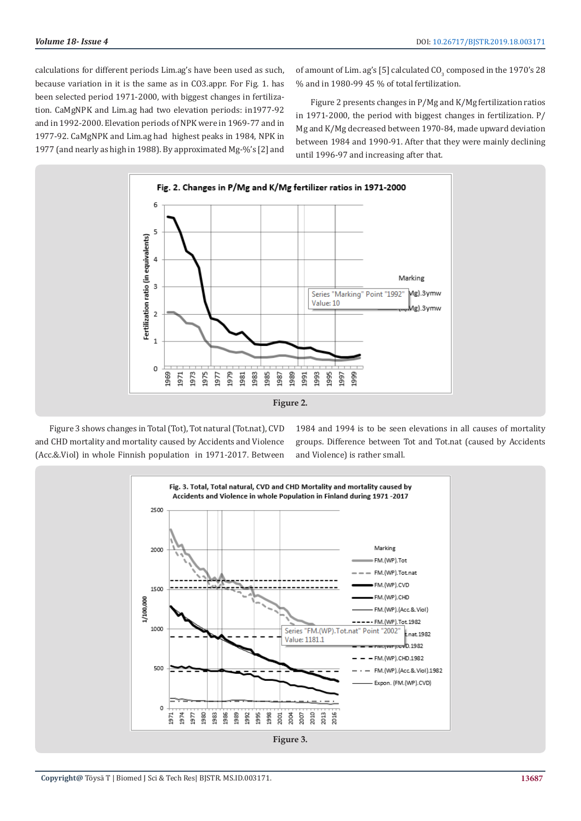calculations for different periods Lim.ag's have been used as such, because variation in it is the same as in CO3.appr. For Fig. 1. has been selected period 1971-2000, with biggest changes in fertilization. CaMgNPK and Lim.ag had two elevation periods: in1977-92 and in 1992-2000. Elevation periods of NPK were in 1969-77 and in 1977-92. CaMgNPK and Lim.ag had highest peaks in 1984, NPK in 1977 (and nearly as high in 1988). By approximated Mg-%'s [2] and

of amount of Lim. ag's [5] calculated  $\text{CO}_3$  composed in the  $1970\text{'s}$   $28$ % and in 1980-99 45 % of total fertilization.

Figure 2 presents changes in P/Mg and K/Mg fertilization ratios in 1971-2000, the period with biggest changes in fertilization. P/ Mg and K/Mg decreased between 1970-84, made upward deviation between 1984 and 1990-91. After that they were mainly declining until 1996-97 and increasing after that.



Figure 3 shows changes in Total (Tot), Tot natural (Tot.nat), CVD and CHD mortality and mortality caused by Accidents and Violence (Acc.&.Viol) in whole Finnish population in 1971-2017. Between

1984 and 1994 is to be seen elevations in all causes of mortality groups. Difference between Tot and Tot.nat (caused by Accidents and Violence) is rather small.

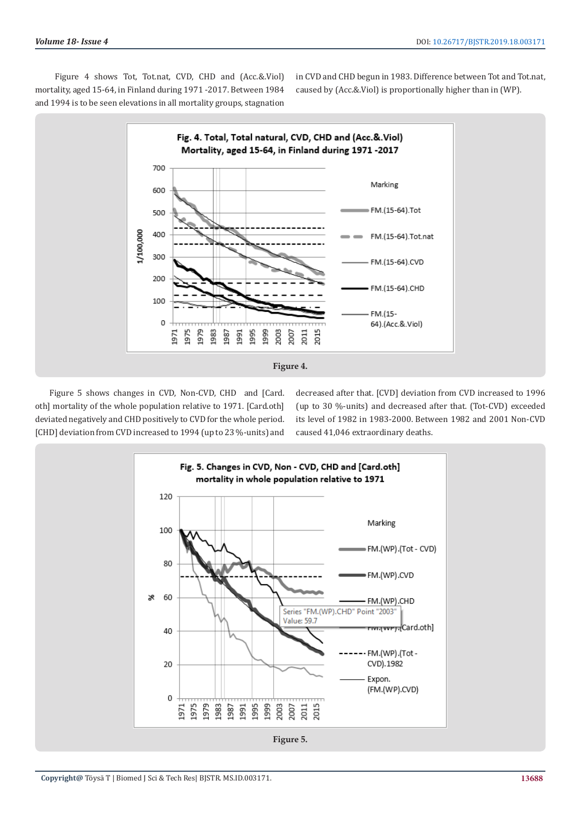Figure 4 shows Tot, Tot.nat, CVD, CHD and (Acc.&.Viol) mortality, aged 15-64, in Finland during 1971 -2017. Between 1984 and 1994 is to be seen elevations in all mortality groups, stagnation

in CVD and CHD begun in 1983. Difference between Tot and Tot.nat, caused by (Acc.&.Viol) is proportionally higher than in (WP).



Figure 5 shows changes in CVD, Non-CVD, CHD and [Card. oth] mortality of the whole population relative to 1971. [Card.oth] deviated negatively and CHD positively to CVD for the whole period. [CHD] deviation from CVD increased to 1994 (up to 23 %-units) and

decreased after that. [CVD] deviation from CVD increased to 1996 (up to 30 %-units) and decreased after that. (Tot-CVD) exceeded its level of 1982 in 1983-2000. Between 1982 and 2001 Non-CVD caused 41,046 extraordinary deaths.

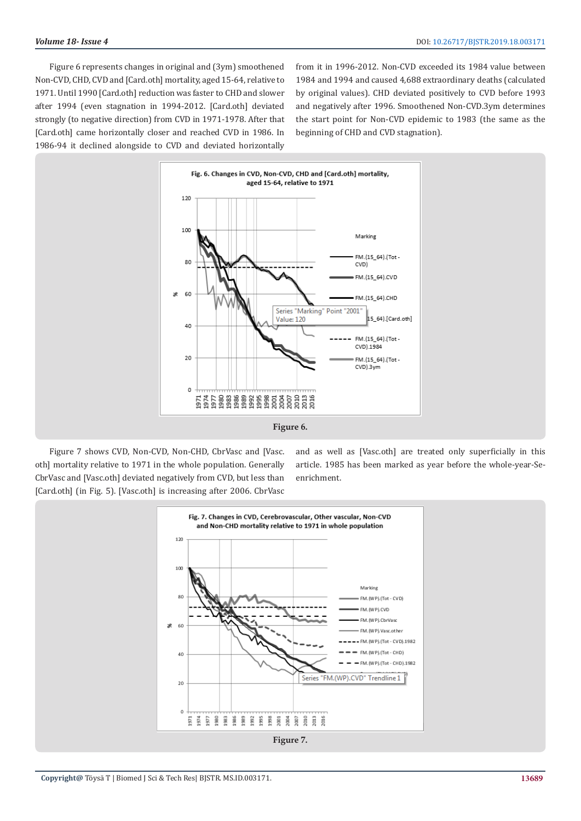Figure 6 represents changes in original and (3ym) smoothened Non-CVD, CHD, CVD and [Card.oth] mortality, aged 15-64, relative to 1971. Until 1990 [Card.oth] reduction was faster to CHD and slower after 1994 (even stagnation in 1994-2012. [Card.oth] deviated strongly (to negative direction) from CVD in 1971-1978. After that [Card.oth] came horizontally closer and reached CVD in 1986. In 1986-94 it declined alongside to CVD and deviated horizontally

from it in 1996-2012. Non-CVD exceeded its 1984 value between 1984 and 1994 and caused 4,688 extraordinary deaths (calculated by original values). CHD deviated positively to CVD before 1993 and negatively after 1996. Smoothened Non-CVD.3ym determines the start point for Non-CVD epidemic to 1983 (the same as the beginning of CHD and CVD stagnation).



Figure 7 shows CVD, Non-CVD, Non-CHD, CbrVasc and [Vasc. oth] mortality relative to 1971 in the whole population. Generally CbrVasc and [Vasc.oth] deviated negatively from CVD, but less than [Card.oth] (in Fig. 5). [Vasc.oth] is increasing after 2006. CbrVasc

and as well as [Vasc.oth] are treated only superficially in this article. 1985 has been marked as year before the whole-year-Seenrichment.

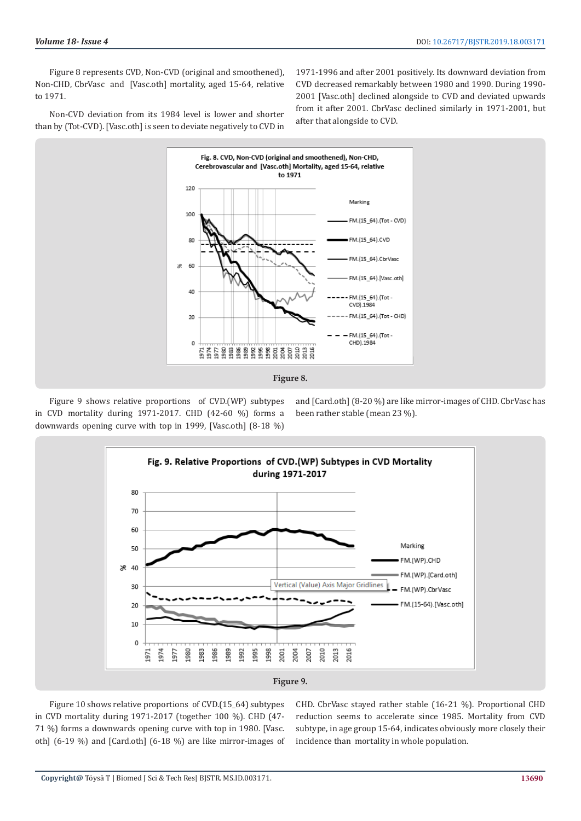Figure 8 represents CVD, Non-CVD (original and smoothened), Non-CHD, CbrVasc and [Vasc.oth] mortality, aged 15-64, relative to 1971.

1971-1996 and after 2001 positively. Its downward deviation from CVD decreased remarkably between 1980 and 1990. During 1990- 2001 [Vasc.oth] declined alongside to CVD and deviated upwards from it after 2001. CbrVasc declined similarly in 1971-2001, but after that alongside to CVD.

Non-CVD deviation from its 1984 level is lower and shorter than by (Tot-CVD). [Vasc.oth] is seen to deviate negatively to CVD in



Figure 9 shows relative proportions of CVD.(WP) subtypes in CVD mortality during 1971-2017. CHD (42-60 %) forms a downwards opening curve with top in 1999, [Vasc.oth] (8-18 %)

and [Card.oth] (8-20 %) are like mirror-images of CHD. CbrVasc has been rather stable (mean 23 %).



Figure 10 shows relative proportions of CVD.(15\_64) subtypes in CVD mortality during 1971-2017 (together 100 %). CHD (47- 71 %) forms a downwards opening curve with top in 1980. [Vasc. oth] (6-19 %) and [Card.oth] (6-18 %) are like mirror-images of CHD. CbrVasc stayed rather stable (16-21 %). Proportional CHD reduction seems to accelerate since 1985. Mortality from CVD subtype, in age group 15-64, indicates obviously more closely their incidence than mortality in whole population.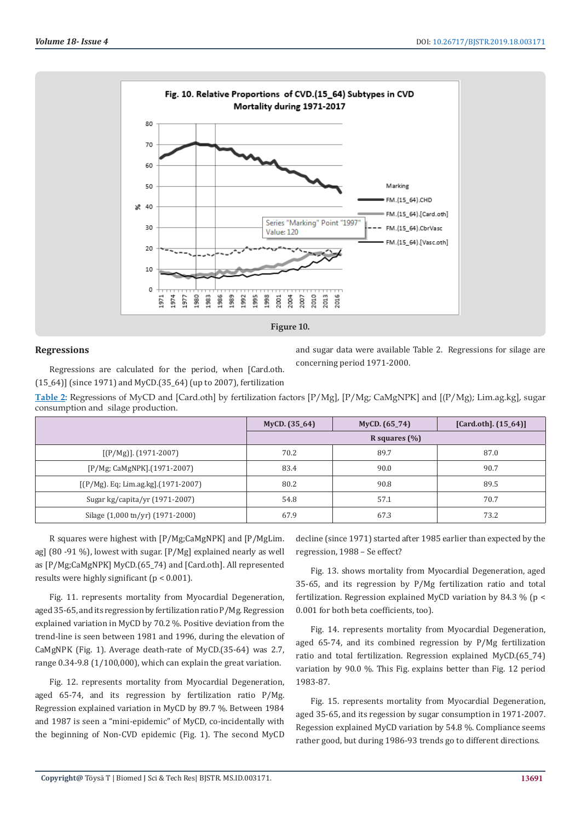

# **Regressions**

Regressions are calculated for the period, when [Card.oth. (15\_64)] (since 1971) and MyCD.(35\_64) (up to 2007), fertilization and sugar data were available Table 2. Regressions for silage are concerning period 1971-2000.

**Table 2:** Regressions of MyCD and [Card.oth] by fertilization factors [P/Mg], [P/Mg; CaMgNPK] and [(P/Mg); Lim.ag.kg], sugar consumption and silage production.

|                                     | MyCD. (35_64) | MyCD. $(65_74)$  | [Card.oth]. $(15_64)$ ] |  |  |
|-------------------------------------|---------------|------------------|-------------------------|--|--|
|                                     |               | R squares $(\%)$ |                         |  |  |
| $[(P/Mg)]$ . (1971-2007)            | 70.2          | 89.7             | 87.0                    |  |  |
| [P/Mg; CaMgNPK].(1971-2007)         | 83.4          | 90.0             | 90.7                    |  |  |
| [(P/Mg). Eq; Lim.ag.kg].(1971-2007) | 80.2          | 90.8             | 89.5                    |  |  |
| Sugar kg/capita/yr (1971-2007)      | 54.8          | 57.1             | 70.7                    |  |  |
| Silage (1,000 tn/yr) (1971-2000)    | 67.9          | 67.3             | 73.2                    |  |  |

R squares were highest with [P/Mg;CaMgNPK] and [P/MgLim. ag] (80 -91 %), lowest with sugar. [P/Mg] explained nearly as well as [P/Mg;CaMgNPK] MyCD.(65\_74) and [Card.oth]. All represented results were highly significant (p < 0.001).

Fig. 11. represents mortality from Myocardial Degeneration, aged 35-65, and its regression by fertilization ratio P/Mg. Regression explained variation in MyCD by 70.2 %. Positive deviation from the trend-line is seen between 1981 and 1996, during the elevation of CaMgNPK (Fig. 1). Average death-rate of MyCD.(35-64) was 2.7, range 0.34-9.8 (1/100,000), which can explain the great variation.

Fig. 12. represents mortality from Myocardial Degeneration, aged 65-74, and its regression by fertilization ratio P/Mg. Regression explained variation in MyCD by 89.7 %. Between 1984 and 1987 is seen a "mini-epidemic" of MyCD, co-incidentally with the beginning of Non-CVD epidemic (Fig. 1). The second MyCD decline (since 1971) started after 1985 earlier than expected by the regression, 1988 – Se effect?

Fig. 13. shows mortality from Myocardial Degeneration, aged 35-65, and its regression by P/Mg fertilization ratio and total fertilization. Regression explained MyCD variation by 84.3 % ( $p <$ 0.001 for both beta coefficients, too).

Fig. 14. represents mortality from Myocardial Degeneration, aged 65-74, and its combined regression by P/Mg fertilization ratio and total fertilization. Regression explained MyCD.(65\_74) variation by 90.0 %. This Fig. explains better than Fig. 12 period 1983-87.

Fig. 15. represents mortality from Myocardial Degeneration, aged 35-65, and its regession by sugar consumption in 1971-2007. Regession explained MyCD variation by 54.8 %. Compliance seems rather good, but during 1986-93 trends go to different directions.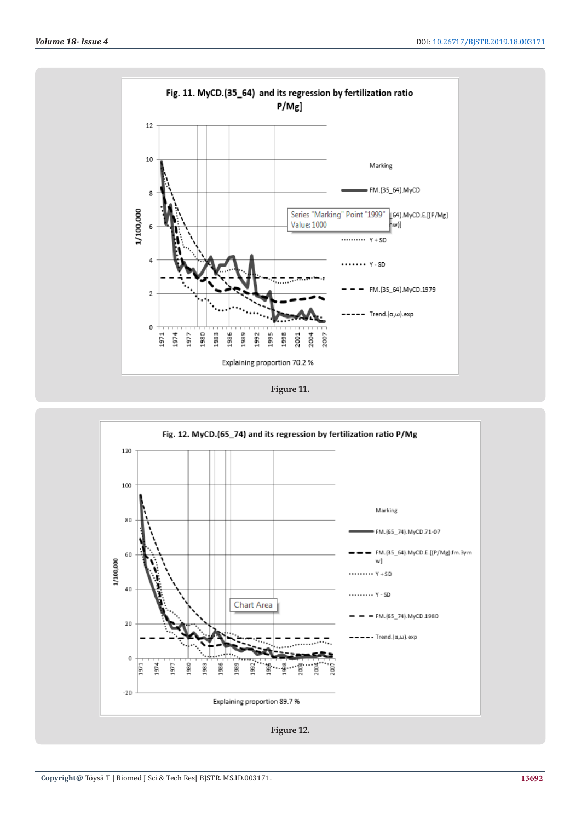

**Figure 11.**

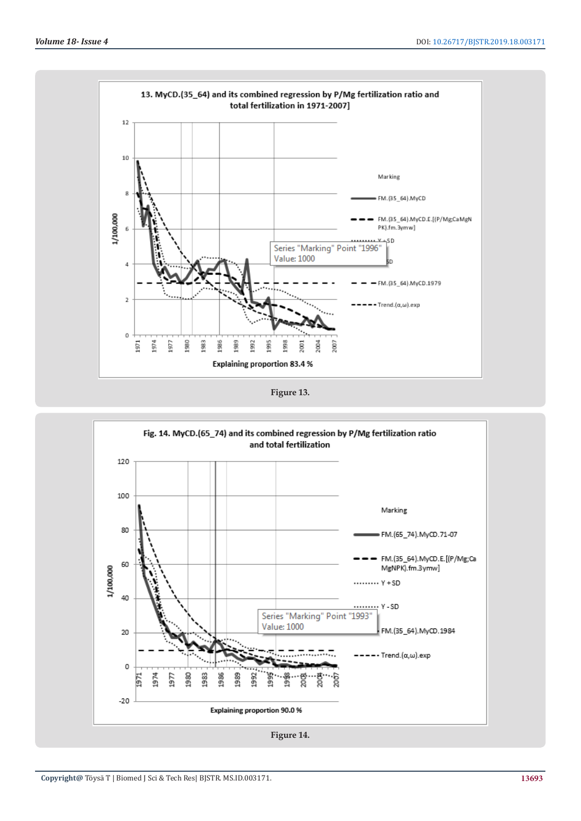

**Figure 13.**

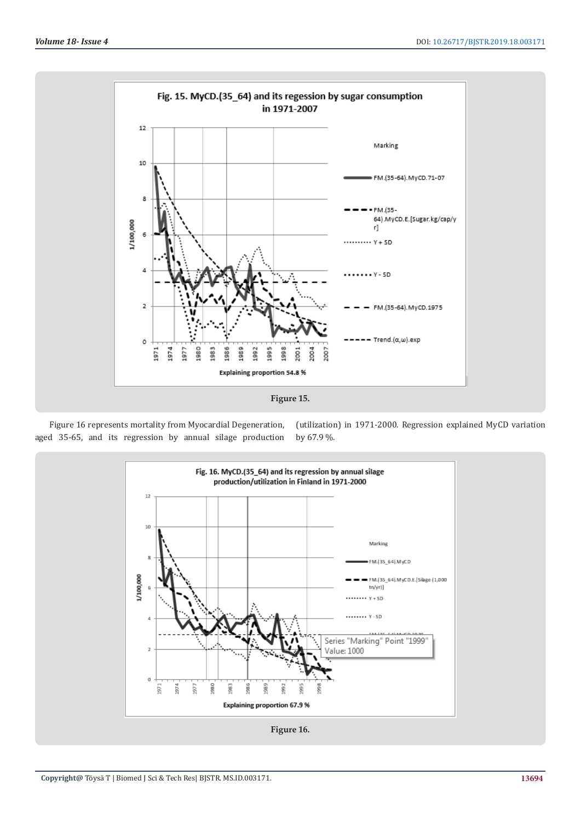



(utilization) in 1971-2000. Regression explained MyCD variation by 67.9 %.

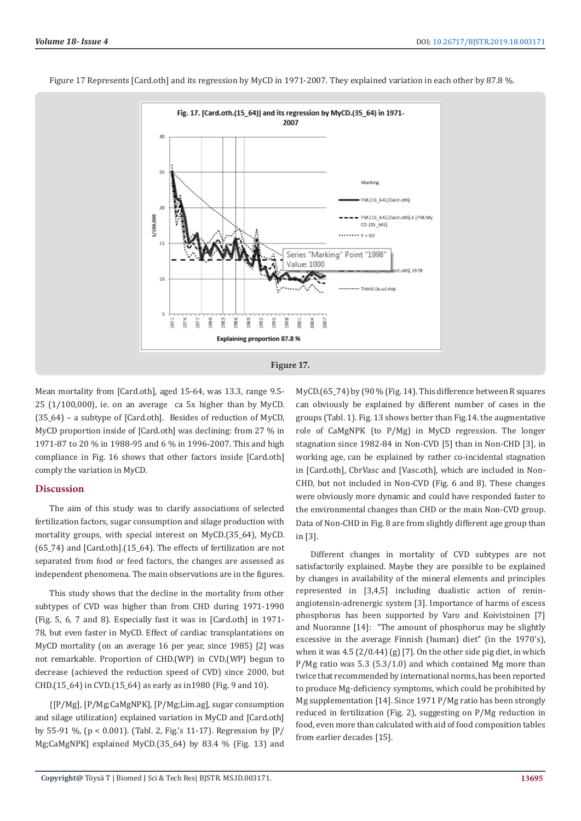

Figure 17 Represents [Card.oth] and its regression by MyCD in 1971-2007. They explained variation in each other by 87.8 %.

Mean mortality from [Card.oth], aged 15-64, was 13.3, range 9.5- 25 (1/100,000), ie. on an average ca 5x higher than by MyCD. (35\_64) – a subtype of [Card.oth]. Besides of reduction of MyCD, MyCD proportion inside of [Card.oth] was declining: from 27 % in 1971-87 to 20 % in 1988-95 and 6 % in 1996-2007. This and high compliance in Fig. 16 shows that other factors inside [Card.oth] comply the variation in MyCD.

#### **Discussion**

The aim of this study was to clarify associations of selected fertilization factors, sugar consumption and silage production with mortality groups, with special interest on MyCD.(35\_64), MyCD. (65\_74) and [Card.oth].(15\_64). The effects of fertilization are not separated from food or feed factors, the changes are assessed as independent phenomena. The main observations are in the figures.

This study shows that the decline in the mortality from other subtypes of CVD was higher than from CHD during 1971-1990 (Fig. 5, 6, 7 and 8). Especially fast it was in [Card.oth] in 1971- 78, but even faster in MyCD. Effect of cardiac transplantations on MyCD mortality (on an average 16 per year, since 1985) [2] was not remarkable. Proportion of CHD.(WP) in CVD.(WP) begun to decrease (achieved the reduction speed of CVD) since 2000, but CHD.(15\_64) in CVD.(15\_64) as early as in1980 (Fig. 9 and 10).

{[P/Mg], [P/Mg;CaMgNPK], [P/Mg;Lim.ag], sugar consumption and silage utilization} explained variation in MyCD and [Card.oth] by 55-91 %, (p < 0.001). (Tabl. 2, Fig.'s 11-17). Regression by [P/ Mg;CaMgNPK] explained MyCD.(35\_64) by 83.4 % (Fig. 13) and MyCD.(65-74) by (90 % (Fig. 14). This difference between R squares can obviously be explained by different number of cases in the groups (Tabl. 1). Fig. 13 shows better than Fig.14. the augmentative role of CaMgNPK (to P/Mg) in MyCD regression. The longer stagnation since 1982-84 in Non-CVD [5] than in Non-CHD [3], in working age, can be explained by rather co-incidental stagnation in [Card.oth], CbrVasc and [Vasc.oth], which are included in Non-CHD, but not included in Non-CVD (Fig. 6 and 8). These changes were obviously more dynamic and could have responded faster to the environmental changes than CHD or the main Non-CVD group. Data of Non-CHD in Fig. 8 are from slightly different age group than in [3].

Different changes in mortality of CVD subtypes are not satisfactorily explained. Maybe they are possible to be explained by changes in availability of the mineral elements and principles represented in [3,4,5] including dualistic action of reninangiotensin-adrenergic system [3]. Importance of harms of excess phosphorus has been supported by Varo and Koivistoinen [7] and Nuoranne [14]: "The amount of phosphorus may be slightly excessive in the average Finnish (human) diet" (in the 1970's), when it was 4.5 (2/0.44) (g) [7]. On the other side pig diet, in which P/Mg ratio was 5.3 (5.3/1.0) and which contained Mg more than twice that recommended by international norms, has been reported to produce Mg-deficiency symptoms, which could be prohibited by Mg supplementation [14]. Since 1971 P/Mg ratio has been strongly reduced in fertilization (Fig. 2), suggesting on P/Mg reduction in food, even more than calculated with aid of food composition tables from earlier decades [15].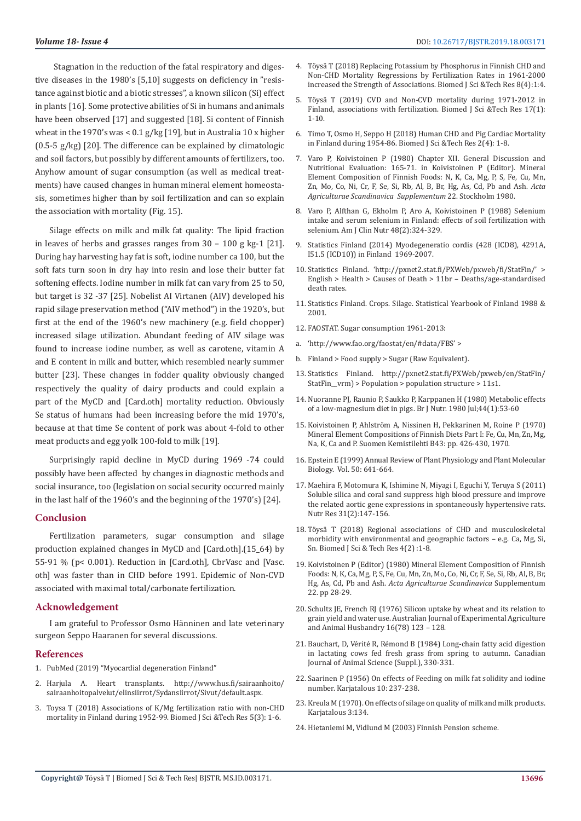Stagnation in the reduction of the fatal respiratory and digestive diseases in the 1980's [5,10] suggests on deficiency in "resistance against biotic and a biotic stresses", a known silicon (Si) effect in plants [16]. Some protective abilities of Si in humans and animals have been observed [17] and suggested [18]. Si content of Finnish wheat in the 1970's was < 0.1 g/kg [19], but in Australia 10 x higher  $(0.5-5 g/kg)$  [20]. The difference can be explained by climatologic and soil factors, but possibly by different amounts of fertilizers, too. Anyhow amount of sugar consumption (as well as medical treatments) have caused changes in human mineral element homeostasis, sometimes higher than by soil fertilization and can so explain the association with mortality (Fig. 15).

Silage effects on milk and milk fat quality: The lipid fraction in leaves of herbs and grasses ranges from 30 – 100 g kg-1 [21]. During hay harvesting hay fat is soft, iodine number ca 100, but the soft fats turn soon in dry hay into resin and lose their butter fat softening effects. Iodine number in milk fat can vary from 25 to 50, but target is 32 -37 [25]. Nobelist AI Virtanen (AIV) developed his rapid silage preservation method ("AIV method") in the 1920's, but first at the end of the 1960's new machinery (e.g. field chopper) increased silage utilization. Abundant feeding of AIV silage was found to increase iodine number, as well as carotene, vitamin A and E content in milk and butter, which resembled nearly summer butter [23]. These changes in fodder quality obviously changed respectively the quality of dairy products and could explain a part of the MyCD and [Card.oth] mortality reduction. Obviously Se status of humans had been increasing before the mid 1970's, because at that time Se content of pork was about 4-fold to other meat products and egg yolk 100-fold to milk [19].

Surprisingly rapid decline in MyCD during 1969 -74 could possibly have been affected by changes in diagnostic methods and social insurance, too (legislation on social security occurred mainly in the last half of the 1960's and the beginning of the 1970's) [24].

#### **Conclusion**

Fertilization parameters, sugar consumption and silage production explained changes in MyCD and [Card.oth].(15\_64) by 55-91 % (p< 0.001). Reduction in [Card.oth], CbrVasc and [Vasc. oth] was faster than in CHD before 1991. Epidemic of Non-CVD associated with maximal total/carbonate fertilization.

#### **Acknowledgement**

I am grateful to Professor Osmo Hänninen and late veterinary surgeon Seppo Haaranen for several discussions.

#### **References**

- 1. PubMed (2019) "Myocardial degeneration Finland"
- 2. Harjula A. Heart transplants. http://www.hus.fi/sairaanhoito/ sairaanhoitopalvelut/elinsiirrot/Sydansiirrot/Sivut/default.aspx.
- 3. Toysa T (2018) Associations of K/Mg fertilization ratio with non-CHD mortality in Finland during 1952-99. Biomed J Sci &Tech Res 5(3): 1-6.
- 4. Töysä T (2018) Replacing Potassium by Phosphorus in Finnish CHD and Non-CHD Mortality Regressions by Fertilization Rates in 1961-2000 increased the Strength of Associations. Biomed J Sci &Tech Res 8(4):1:4.
- 5. Töysä T (2019) CVD and Non-CVD mortality during 1971-2012 in Finland, associations with fertilization. Biomed J Sci &Tech Res 17(1): 1-10.
- 6. Timo T, Osmo H, Seppo H (2018) Human CHD and Pig Cardiac Mortality in Finland during 1954-86. Biomed J Sci &Tech Res 2(4): 1-8.
- 7. Varo P, Koivistoinen P (1980) Chapter XII. General Discussion and Nutritional Evaluation: 165-71. in Koivistoinen P (Editor). Mineral Element Composition of Finnish Foods: N, K, Ca, Mg, P, S, Fe, Cu, Mn, Zn, Mo, Co, Ni, Cr, F, Se, Si, Rb, Al, B, Br, Hg, As, Cd, Pb and Ash. *Acta Agriculturae Scandinavica Supplementum* 22. Stockholm 1980.
- 8. Varo P, Alfthan G, Ekholm P, Aro A, Koivistoinen P (1988) Selenium intake and serum selenium in Finland: effects of soil fertilization with selenium. Am J Clin Nutr 48(2):324-329.
- 9. Statistics Finland (2014) Myodegeneratio cordis (428 (ICD8), 4291A, I51.5 (ICD10)) in Finland 1969-2007.
- 10. Statistics Finland. 'http://pxnet2.stat.fi/PXWeb/pxweb/fi/StatFin/' > English > Health > Causes of Death > 11br – Deaths/age-standardised death rates.
- 11. Statistics Finland. Crops. Silage. Statistical Yearbook of Finland 1988 & 2001.
- 12. FAOSTAT. Sugar consumption 1961-2013:
- a. 'http://www.fao.org/faostat/en/#data/FBS' >
- b. Finland > Food supply > Sugar (Raw Equivalent).
- 13. Statistics Finland. http://pxnet2.stat.fi/PXWeb/pxweb/en/StatFin/ StatFin vrm) > Population > population structure > 11s1.
- 14. Nuoranne PJ, Raunio P, Saukko P, Karppanen H (1980) Metabolic effects of a low-magnesium diet in pigs. Br J Nutr. 1980 Jul;44(1):53-60
- 15. Koivistoinen P, Ahlström A, Nissinen H, Pekkarinen M, Roine P (1970) Mineral Element Compositions of Finnish Diets Part I: Fe, Cu, Mn, Zn, Mg, Na, K, Ca and P. Suomen Kemistilehti B43: pp. 426-430, 1970.
- 16. Epstein E (1999) Annual Review of Plant Physiology and Plant Molecular Biology. Vol. 50: 641-664.
- 17. Maehira F, Motomura K, Ishimine N, Miyagi I, Eguchi Y, Teruya S (2011) Soluble silica and coral sand suppress high blood pressure and improve the related aortic gene expressions in spontaneously hypertensive rats. Nutr Res 31(2):147-156.
- 18. Töysä T (2018) Regional associations of CHD and musculoskeletal morbidity with environmental and geographic factors – e.g. Ca, Mg, Si, Sn. Biomed J Sci & Tech Res 4(2) :1-8.
- 19. Koivistoinen P (Editor) (1980) Mineral Element Composition of Finnish Foods: N, K, Ca, Mg, P, S, Fe, Cu, Mn, Zn, Mo, Co, Ni, Cr, F, Se, Si, Rb, Al, B, Br, Hg, As, Cd, Pb and Ash. *Acta Agriculturae Scandinavica* Supplementum 22. pp 28-29.
- 20. Schultz JE, French RJ (1976) Silicon uptake by wheat and its relation to grain yield and water use. Australian Journal of Experimental Agriculture and Animal Husbandry 16(78) 123 – 128.
- 21. Bauchart, D, Vérité R, Rémond B (1984) Long-chain fatty acid digestion in lactating cows fed fresh grass from spring to autumn. Canadian Journal of Animal Science (Suppl.), 330-331.
- 22. Saarinen P (1956) On effects of Feeding on milk fat solidity and iodine number. Karjatalous 10: 237-238.
- 23. Kreula M (1970). On effects of silage on quality of milk and milk products. Karjatalous 3:134.
- 24. Hietaniemi M, Vidlund M (2003) Finnish Pension scheme.